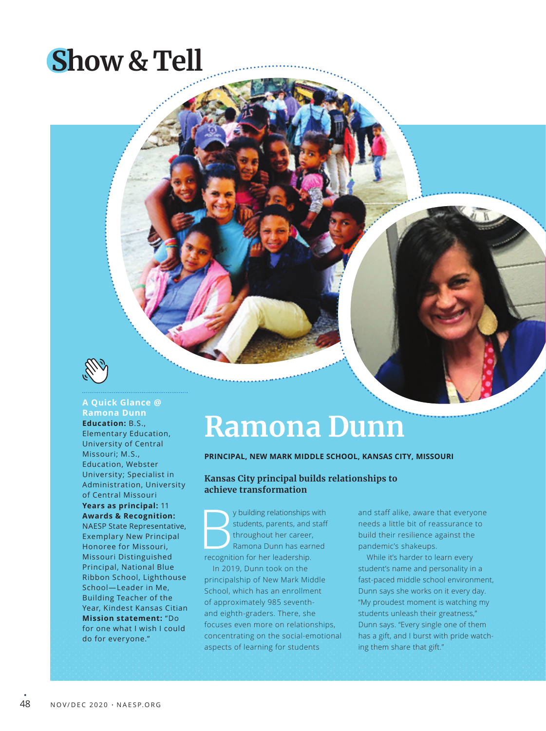# **Show & Tell**



## **A Quick Glance @ Ramona Dunn Education:** B.S.,

Elementary Education, University of Central Missouri; M.S., Education, Webster University; Specialist in Administration, University of Central Missouri **Years as principal:** 11 **Awards & Recognition:** NAESP State Representative, Exemplary New Principal Honoree for Missouri, Missouri Distinguished Principal, National Blue Ribbon School, Lighthouse School—Leader in Me, Building Teacher of the Year, Kindest Kansas Citian **Mission statement:** "Do for one what I wish I could do for everyone."

# **Ramona Dunn**

#### **PRINCIPAL, NEW MARK MIDDLE SCHOOL, KANSAS CITY, MISSOURI**

## **Kansas City principal builds relationships to achieve transformation**

y building relationships with students, parents, and staff throughout her career, Ramona Dunn has earned recognition for her leadership. In 2019, Dunn took on the

principalship of New Mark Middle School, which has an enrollment of approximately 985 seventhand eighth-graders. There, she focuses even more on relationships, concentrating on the social-emotional aspects of learning for students

and staff alike, aware that everyone needs a little bit of reassurance to build their resilience against the pandemic's shakeups.

While it's harder to learn every student's name and personality in a fast-paced middle school environment, Dunn says she works on it every day. "My proudest moment is watching my students unleash their greatness," Dunn says. "Every single one of them has a gift, and I burst with pride watching them share that gift."